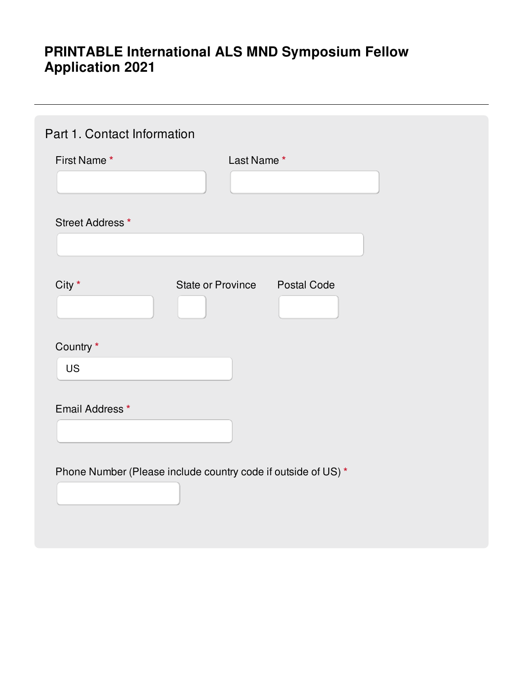# **PRINTABLE International ALS MND Symposium Fellow Application 2021**

| Part 1. Contact Information                                   |
|---------------------------------------------------------------|
| First Name*<br>Last Name*                                     |
|                                                               |
| Street Address *                                              |
|                                                               |
| City *<br><b>State or Province</b><br><b>Postal Code</b>      |
| Country *<br><b>US</b>                                        |
| Email Address*                                                |
| Phone Number (Please include country code if outside of US) * |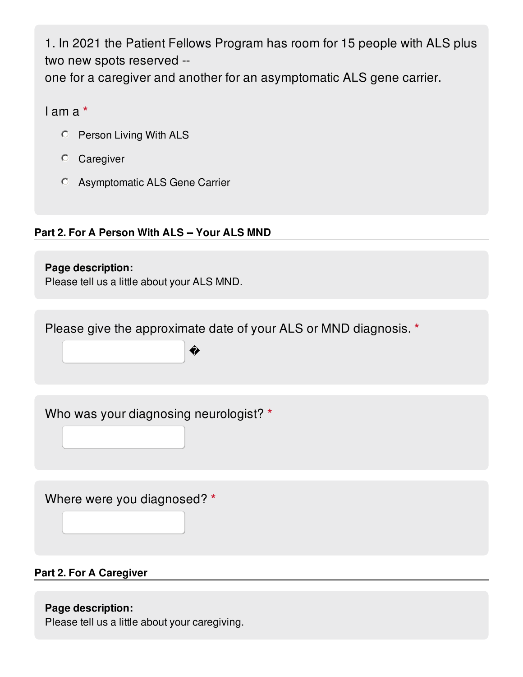1. In 2021 the Patient Fellows Program has room for 15 people with ALS plus two new spots reserved - one for a caregiver and another for an asymptomatic ALS gene carrier.

I am a **\***

- Person Living With ALS
- Caregiver
- Asymptomatic ALS Gene Carrier

## **Part 2. For A Person With ALS -- Your ALS MND**

**Page description:** Please tell us a little about your ALS MND.

Please give the approximate date of your ALS or MND diagnosis. **\***

�

Who was your diagnosing neurologist? **\***

Where were you diagnosed? **\***

## **Part 2. For A Caregiver**

## **Page description:**

Please tell us a little about your caregiving.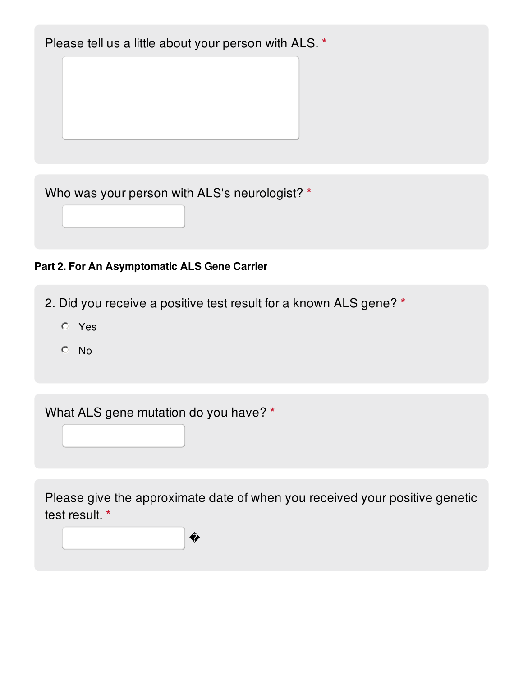Please tell us a little about your person with ALS. **\***

Who was your person with ALS's neurologist? **\***

## **Part 2. For An Asymptomatic ALS Gene Carrier**

2. Did you receive a positive test result for a known ALS gene? **\***

- Yes
- <sup>O</sup> No

What ALS gene mutation do you have? **\***

�

Please give the approximate date of when you received your positive genetic test result. **\***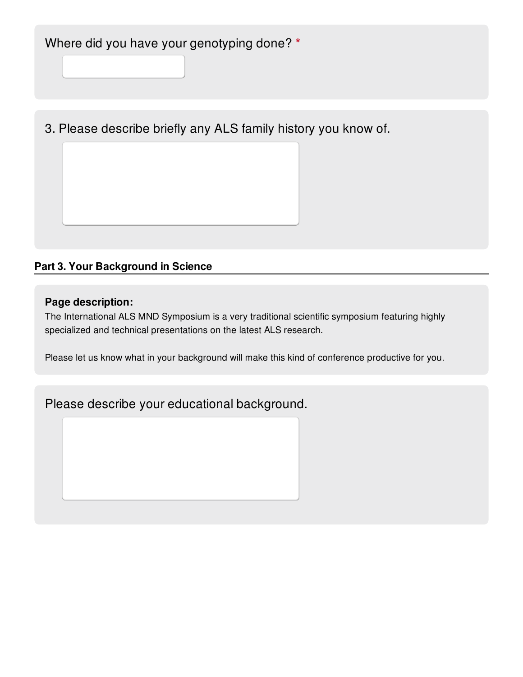3. Please describe briefly any ALS family history you know of.

## **Part 3. Your Background in Science**

#### **Page description:**

The International ALS MND Symposium is a very traditional scientific symposium featuring highly specialized and technical presentations on the latest ALS research.

Please let us know what in your background will make this kind of conference productive for you.

## Please describe your educational background.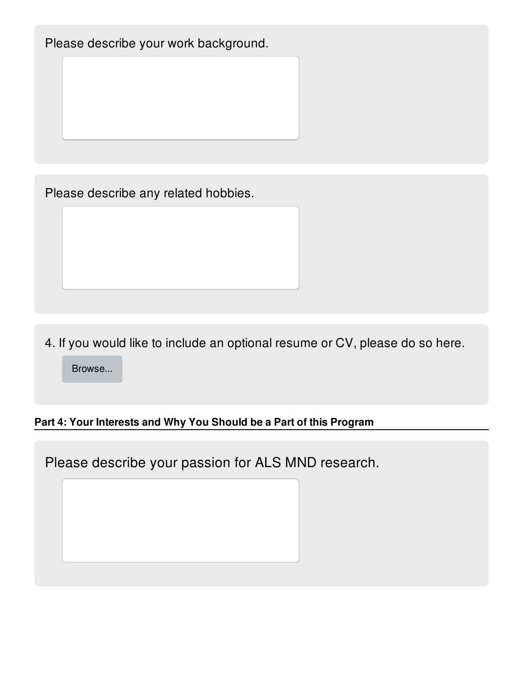Please describe your work background.

Please describe any related hobbies.

4. If you would like to include an optional resume or CV, please do so here.

Browse...

## **Part 4: Your Interests and Why You Should be a Part of this Program**

Please describe your passion for ALS MND research.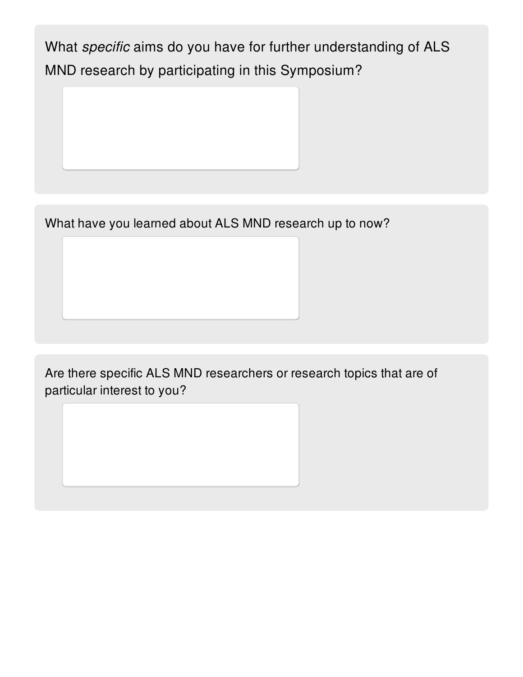What *specific* aims do you have for further understanding of ALS MND research by participating in this Symposium?

What have you learned about ALS MND research up to now?

Are there specific ALS MND researchers or research topics that are of particular interest to you?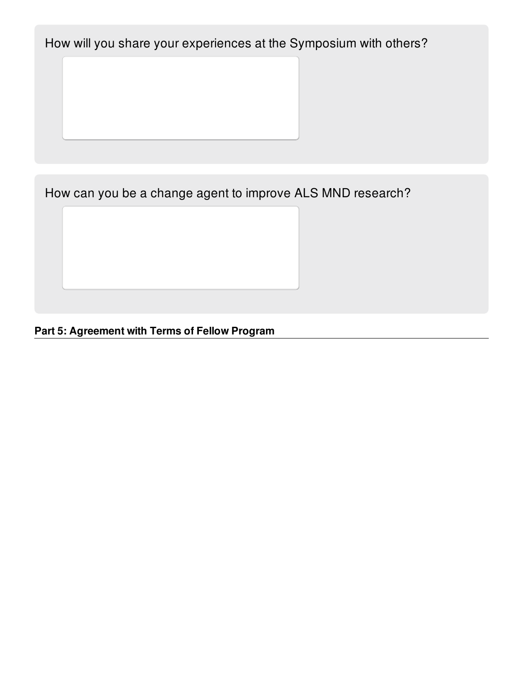How will you share your experiences at the Symposium with others?

How can you be a change agent to improve ALS MND research?

**Part 5: Agreement with Terms of Fellow Program**